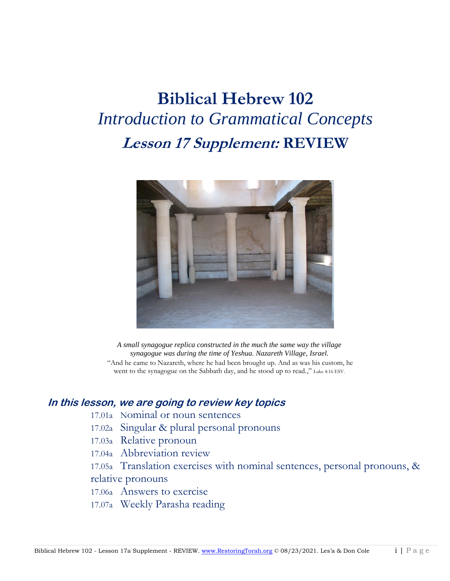# **Biblical Hebrew 102** *Introduction to Grammatical Concepts* **Lesson 17 Supplement: REVIEW**



*A small synagogue replica constructed in the much the same way the village synagogue was during the time of Yeshua. Nazareth Village, Israel.* "And he came to Nazareth, where he had been brought up. And as was his custom, he went to the synagogue on the Sabbath day, and he stood up to read.," Luke 4:16 ESV.

## **In this lesson, we are going to review key topics**

- 17.01a Nominal or noun sentences
- 17.02a Singular & plural personal pronouns
- 17.03a Relative pronoun
- 17.04a Abbreviation review

17.05a Translation exercises with nominal sentences, personal pronouns, & relative pronouns

- 17.06a Answers to exercise
- 17.07a Weekly Parasha reading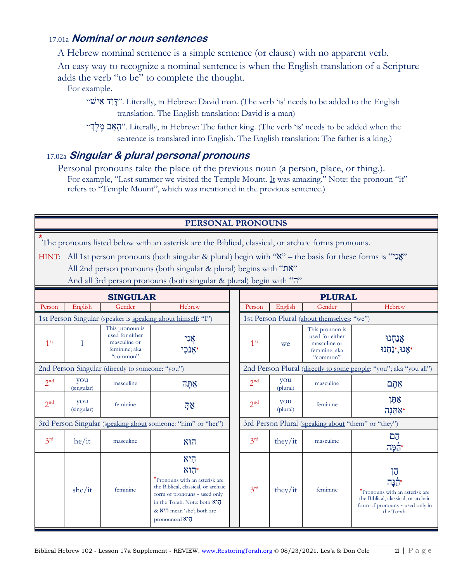#### 17.01a **Nominal or noun sentences**

A Hebrew nominal sentence is a simple sentence (or clause) with no apparent verb.

An easy way to recognize a nominal sentence is when the English translation of a Scripture adds the verb "to be" to complete the thought.

For example.

"וַדָּן אֵישׁ". Literally, in Hebrew: David man. (The verb 'is' needs to be added to the English translation. The English translation: David is a man)

"הְאָב מֶלְךְ". Literally, in Hebrew: The father king. (The verb 'is' needs to be added when the sentence is translated into English. The English translation: The father is a king.)

### 17.02a **Singular & plural personal pronouns**

Personal pronouns take the place of the previous noun (a person, place, or thing.). For example, "Last summer we visited the Temple Mount. It was amazing." Note: the pronoun "it" refers to "Temple Mount", which was mentioned in the previous sentence.)

#### **PERSONAL PRONOUNS**

**\*** The pronouns listed below with an asterisk are the Biblical, classical, or archaic forms pronouns.

HINT: All 1st person pronouns (both singular & plural) begin with " $\mathbf{X}$ " – the basis for these forms is " $\mathbf{X}$ "

All 2nd person pronouns (both singular & plural) begins with "את"

And all 3rd person pronouns (both singular & plural) begin with "ה"

| <b>SINGULAR</b>                                              |                   |                                                                                 |                                                                                                                                                                                                         |  | <b>PLURAL</b>                                                     |                 |                                                                                 |                                                                                                                                            |
|--------------------------------------------------------------|-------------------|---------------------------------------------------------------------------------|---------------------------------------------------------------------------------------------------------------------------------------------------------------------------------------------------------|--|-------------------------------------------------------------------|-----------------|---------------------------------------------------------------------------------|--------------------------------------------------------------------------------------------------------------------------------------------|
| Person                                                       | English           | Gender                                                                          | Hebrew                                                                                                                                                                                                  |  | Person                                                            | English         | Gender                                                                          | Hebrew                                                                                                                                     |
| 1st Person Singular (speaker is speaking about himself: "I") |                   |                                                                                 |                                                                                                                                                                                                         |  | 1st Person Plural (about themselves: "we")                        |                 |                                                                                 |                                                                                                                                            |
| 1 <sup>st</sup>                                              | T                 | This pronoun is<br>used for either<br>masculine or<br>feminine; aka<br>"common" | אָנִי                                                                                                                                                                                                   |  | 1 <sup>st</sup>                                                   | we              | This pronoun is<br>used for either<br>masculine or<br>feminine; aka<br>"common" | אַנְחָנוּ<br>יאָנוּ, ינַחְנוּ                                                                                                              |
| 2nd Person Singular (directly to someone: "you")             |                   |                                                                                 |                                                                                                                                                                                                         |  | 2nd Person Plural (directly to some people: "you"; aka "you all") |                 |                                                                                 |                                                                                                                                            |
| 2 <sup>nd</sup>                                              | you<br>(singular) | masculine                                                                       | אַתַּה                                                                                                                                                                                                  |  | 2 <sup>nd</sup>                                                   | you<br>(plural) | masculine                                                                       | אתם                                                                                                                                        |
| 2 <sup>nd</sup>                                              | you<br>(singular) | feminine                                                                        | ঢ়়ু                                                                                                                                                                                                    |  | 2 <sup>nd</sup>                                                   | you<br>(plural) | feminine                                                                        | אְתֶּךְ<br>אַתֵּנָה                                                                                                                        |
| 3rd Person Singular (speaking about someone: "him" or "her") |                   |                                                                                 |                                                                                                                                                                                                         |  | 3rd Person Plural (speaking about "them" or "they")               |                 |                                                                                 |                                                                                                                                            |
| 3 <sup>rd</sup>                                              | he/it             | masculine                                                                       | X <sub>17</sub>                                                                                                                                                                                         |  | 3 <sup>rd</sup>                                                   | they/it         | masculine                                                                       | הֲם<br>הַמֲה                                                                                                                               |
|                                                              | she/it            | feminine                                                                        | היא<br>$N$ הוא<br>*Pronouns with an asterisk are<br>the Biblical, classical, or archaic<br>form of pronouns - used only<br>in the Torah. Note: both N17<br>& N'7 mean 'she'; both are<br>pronounced N'7 |  | 3 <sup>rd</sup>                                                   | they/it         | feminine                                                                        | הו<br><u>පවත</u><br>*Pronouns with an asterisk are<br>the Biblical, classical, or archaic<br>form of pronouns - used only in<br>the Torah. |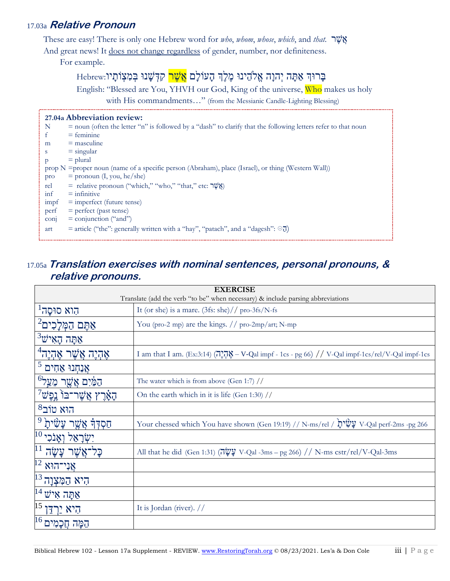## 17.03a **Relative Pronoun**

These are easy! There is only one Hebrew word for *who*, *whom*, *whose*, *which*, and *that.* מָשֵׁר

And great news! It does not change regardless of gender, number, nor definiteness.

For example.

## בָּרוּךְ אַתָּה יְהוָה אֱלֹהֵינוּ מֶלֶךְ הָעוֹלָם <mark>אֲשֶׁר</mark> קִדְּשָׁנוּ בְּמִצְוֹתָיו:Hebrew

English: "Blessed are You, YHVH our God, King of the universe, Who makes us holy

with His commandments..." (from the Messianic Candle-Lighting Blessing)

| N    | $\tau$ = noun (often the letter "n" is followed by a "dash" to clarify that the following letters refer to that noun |
|------|----------------------------------------------------------------------------------------------------------------------|
|      | $=$ feminine                                                                                                         |
| m    | $=$ masculine                                                                                                        |
| S    | $=$ singular                                                                                                         |
| p    | $=$ plural                                                                                                           |
|      | prop $N =$ proper noun (name of a specific person (Abraham), place (Israel), or thing (Western Wall))                |
| pro  | $=$ pronoun $(I, you, he/she)$                                                                                       |
| rel  | $=$ relative pronoun ("which," "who," "that," etc: $\nabla \Psi$                                                     |
| inf  | $=$ infinitive                                                                                                       |
| impf | $=$ imperfect (future tense)                                                                                         |
| perf | $=$ perfect (past tense)                                                                                             |
| con1 | $=$ conjunction ("and")                                                                                              |
| art  | $\tau$ = article ("the": generally written with a "hay", "patach", and a "dagesh": $\odot$                           |

#### 17.05a **Translation exercises with nominal sentences, personal pronouns, &**  relative pronouns. **17.04a Abbreviation review:**  $\pi$  i ranslation exercises with nominal semences, personal pronoun m = masculine (This blessing from the Messianic Candle Blessing:

| <b>EXERCISE</b><br>Translate (add the verb "to be" when necessary) & include parsing abbreviations |                                                                                                                                |  |  |  |
|----------------------------------------------------------------------------------------------------|--------------------------------------------------------------------------------------------------------------------------------|--|--|--|
| הוא סוּסַה <sup>ו</sup>                                                                            | It (or she) is a mare. $(3fs: she)//pro-3fs/N-fs$                                                                              |  |  |  |
| $^2$ אַתֵּם הַמְּלַכִים                                                                            | You (pro-2 mp) are the kings. // pro-2mp/art; N-mp                                                                             |  |  |  |
| $3$ יַתָּה הָאִישׁ                                                                                 |                                                                                                                                |  |  |  |
| $^4$ אָהְיֶה אֲשֶׁר אֶהָיֶה                                                                        | I am that I am. (Ex:3:14) $(\vec{n}$ <sub>1</sub> , $\vec{N}$ – V-Qal impf - 1cs - pg 66) // V-Qal impf-1cs/rel/V-Qal impf-1cs |  |  |  |
| $^5$ אַנַחְנוּ אַחִים                                                                              |                                                                                                                                |  |  |  |
| הַמַּ֫יִם אֲשֶׁר מֵעַל <sup>6</sup>                                                                | The water which is from above (Gen 1:7) //                                                                                     |  |  |  |
| $^7$ הַאֲרֵץ אֲשֵׁר־בּוֹ נֵפֵשׁ                                                                    | On the earth which in it is life (Gen 1:30) //                                                                                 |  |  |  |
| $8$ ילוב                                                                                           |                                                                                                                                |  |  |  |
| ּחַסְדָּ <del>ךָ</del> אֲשֱר עֲשָׂיתַ <sup>9</sup>                                                 | Your chessed which You have shown (Gen 19:19) // N-ms/rel / עֲלָעָׂיֹתָל V-Qal perf-2ms -pg 266                                |  |  |  |
| $^{10}$ יִשְׂרָאֵל וְאָנֹכִי                                                                       |                                                                                                                                |  |  |  |
| $^{11}$ כָּל־אֲשֶׁר עֲשָׂה                                                                         | All that he did (Gen 1:31) $(\vec{n}\ddot{\psi}\ddot{\psi})$ V-Qal -3ms – pg 266) // N-ms cstr/rel/V-Qal-3ms                   |  |  |  |
| $\overline{^{12}}$ אַנְי־הוּא                                                                      |                                                                                                                                |  |  |  |
| $^{13}$ היא הַמְּצְוַה $^{\rm 13}$                                                                 |                                                                                                                                |  |  |  |
| $^{14}$ אַתָּה אִישׁ                                                                               |                                                                                                                                |  |  |  |
| 1 <sup>5</sup> רַרְדֵּן                                                                            | It is Jordan (river). //                                                                                                       |  |  |  |
| הֵמֶּה חֲכַמִים <sup>16</sup>                                                                      |                                                                                                                                |  |  |  |